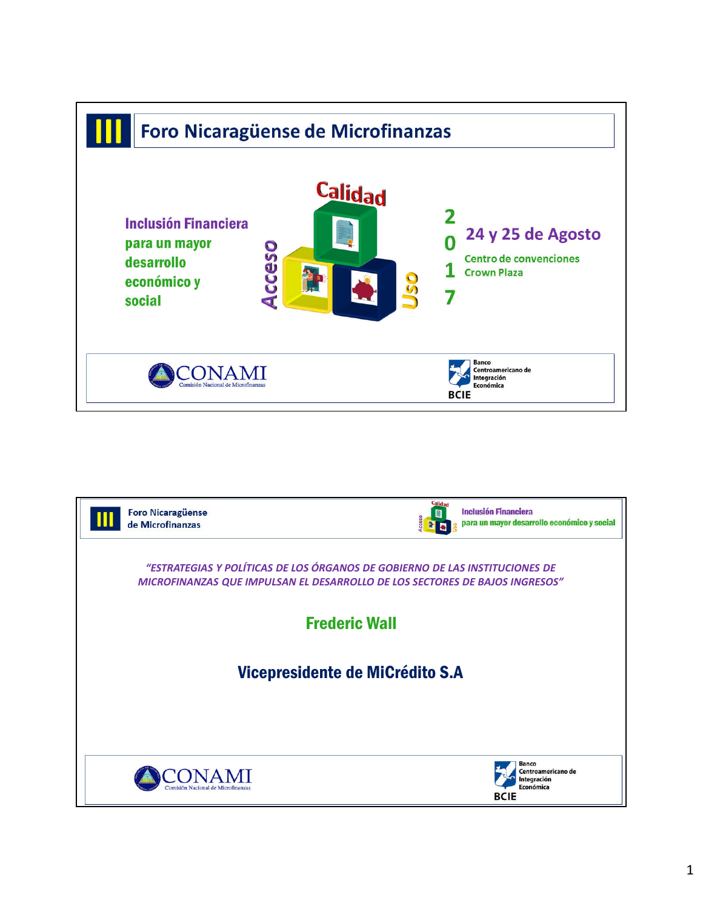

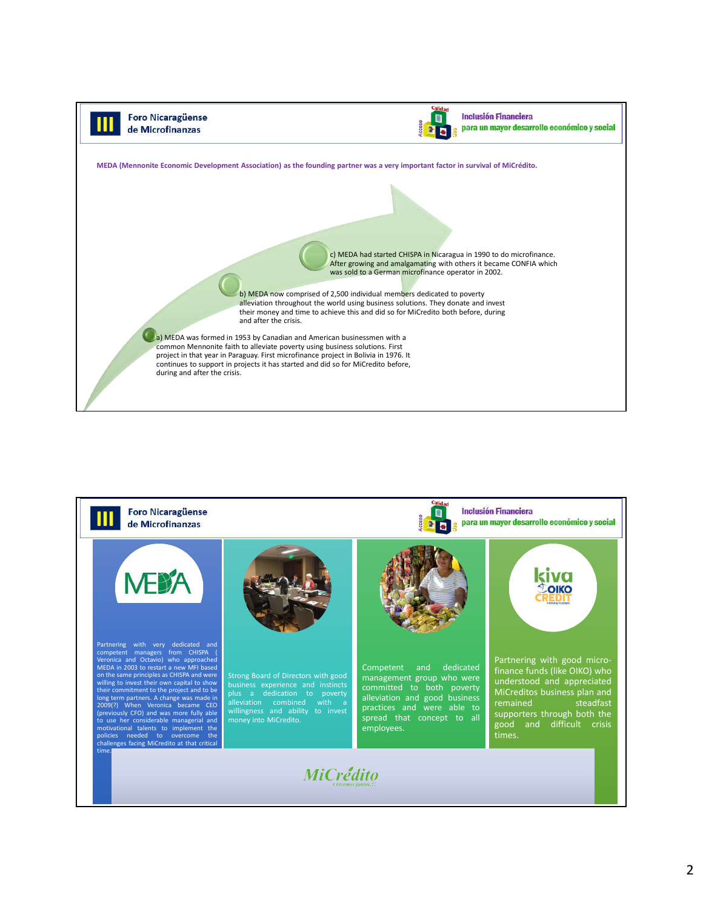

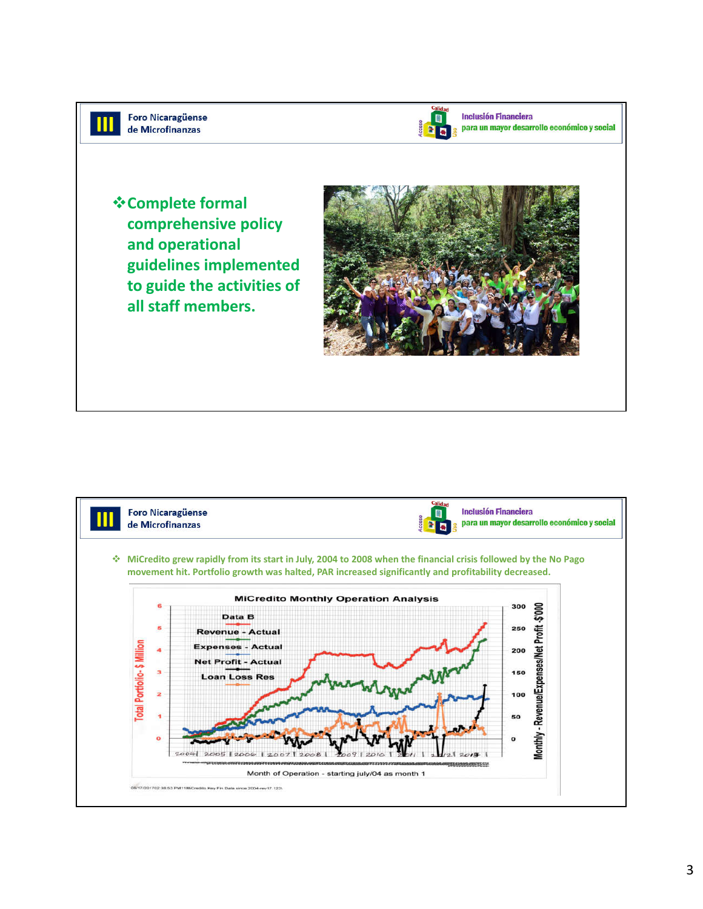



**Inclusión Financiera** para un mayor desarrollo económico y social

**Complete formal comprehensive policy and operational guidelines implemented to guide the activities of all staff members.**